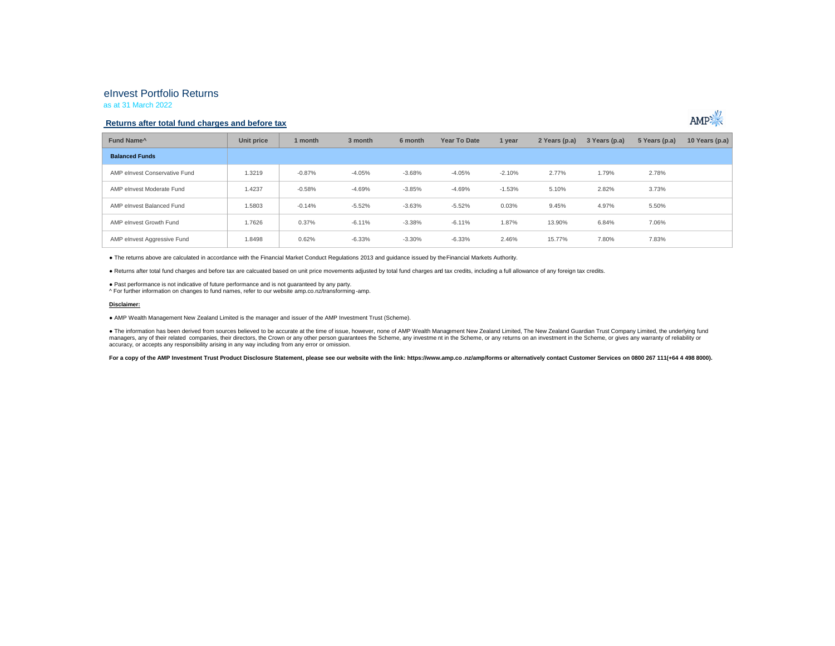# eInvest Portfolio Returns

as at 31 March 2022

## **Returns after total fund charges and before tax**



● The returns above are calculated in accordance with the Financial Market Conduct Regulations 2013 and guidance issued by the Financial Markets Authority.

● Returns after total fund charges and before tax are calcuated based on unit price movements adjusted by total fund charges and tax credits, including a full allowance of any foreign tax credits.

● Past performance is not indicative of future performance and is not guaranteed by any party.

^ For further information on changes to fund names, refer to our website amp.co.nz/transforming -amp.

#### **Disclaimer:**

● AMP Wealth Management New Zealand Limited is the manager and issuer of the AMP Investment Trust (Scheme).

● The information has been derived from sources believed to be accurate at the time of issue, however, none of AMP Wealth Management New Zealand Limited, The New Zealand Guardian Trust Company Limited, the underlying fund managers, any of their related companies, their directors, the Crown or any other person guarantees the Scheme, any investment in the Scheme, or any returns on an investment in the Scheme, or any returns on an investment i accuracy, or accepts any responsibility arising in any way including from any error or omission.

For a copy of the AMP Investment Trust Product Disclosure Statement, please see our website with the link: https://www.amp.co.nz/amp/forms or alternatively contact Customer Services on 0800 267 111(+64 4 498 8000).